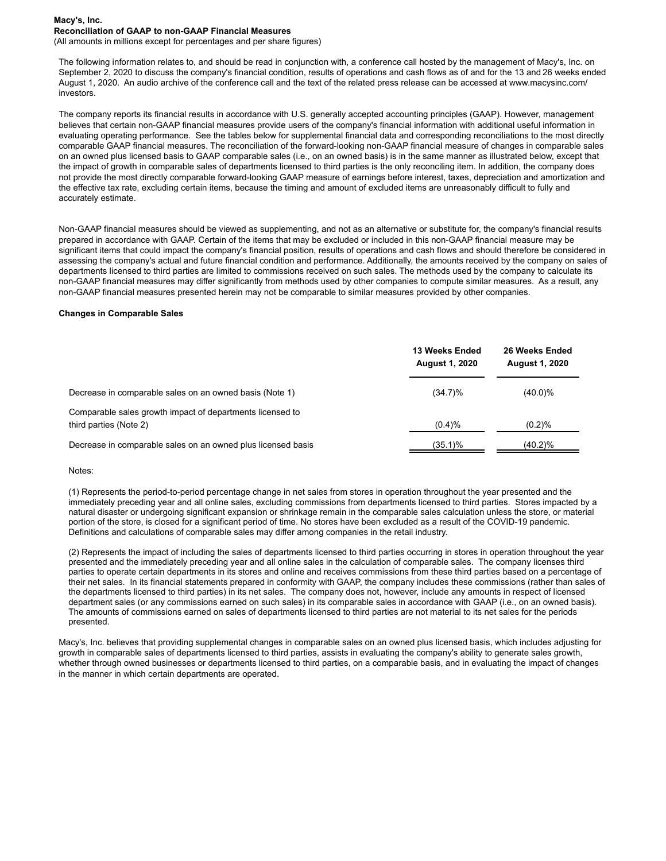### **Macy's, Inc. Reconciliation of GAAP to non-GAAP Financial Measures**

(All amounts in millions except for percentages and per share figures)

The following information relates to, and should be read in conjunction with, a conference call hosted by the management of Macy's, Inc. on September 2, 2020 to discuss the company's financial condition, results of operations and cash flows as of and for the 13 and 26 weeks ended August 1, 2020. An audio archive of the conference call and the text of the related press release can be accessed at www.macysinc.com/ investors.

The company reports its financial results in accordance with U.S. generally accepted accounting principles (GAAP). However, management believes that certain non-GAAP financial measures provide users of the company's financial information with additional useful information in evaluating operating performance. See the tables below for supplemental financial data and corresponding reconciliations to the most directly comparable GAAP financial measures. The reconciliation of the forward-looking non-GAAP financial measure of changes in comparable sales on an owned plus licensed basis to GAAP comparable sales (i.e., on an owned basis) is in the same manner as illustrated below, except that the impact of growth in comparable sales of departments licensed to third parties is the only reconciling item. In addition, the company does not provide the most directly comparable forward-looking GAAP measure of earnings before interest, taxes, depreciation and amortization and the effective tax rate, excluding certain items, because the timing and amount of excluded items are unreasonably difficult to fully and accurately estimate.

Non-GAAP financial measures should be viewed as supplementing, and not as an alternative or substitute for, the company's financial results prepared in accordance with GAAP. Certain of the items that may be excluded or included in this non-GAAP financial measure may be significant items that could impact the company's financial position, results of operations and cash flows and should therefore be considered in assessing the company's actual and future financial condition and performance. Additionally, the amounts received by the company on sales of departments licensed to third parties are limited to commissions received on such sales. The methods used by the company to calculate its non-GAAP financial measures may differ significantly from methods used by other companies to compute similar measures. As a result, any non-GAAP financial measures presented herein may not be comparable to similar measures provided by other companies.

## **Changes in Comparable Sales**

|                                                                                     | 13 Weeks Ended<br><b>August 1, 2020</b> | 26 Weeks Ended<br><b>August 1, 2020</b> |
|-------------------------------------------------------------------------------------|-----------------------------------------|-----------------------------------------|
| Decrease in comparable sales on an owned basis (Note 1)                             | $(34.7)\%$                              | $(40.0)\%$                              |
| Comparable sales growth impact of departments licensed to<br>third parties (Note 2) | (0.4)%                                  | (0.2)%                                  |
| Decrease in comparable sales on an owned plus licensed basis                        | $(35.1)\%$                              | (40.2)%                                 |

#### Notes:

(1) Represents the period-to-period percentage change in net sales from stores in operation throughout the year presented and the immediately preceding year and all online sales, excluding commissions from departments licensed to third parties. Stores impacted by a natural disaster or undergoing significant expansion or shrinkage remain in the comparable sales calculation unless the store, or material portion of the store, is closed for a significant period of time. No stores have been excluded as a result of the COVID-19 pandemic. Definitions and calculations of comparable sales may differ among companies in the retail industry.

(2) Represents the impact of including the sales of departments licensed to third parties occurring in stores in operation throughout the year presented and the immediately preceding year and all online sales in the calculation of comparable sales. The company licenses third parties to operate certain departments in its stores and online and receives commissions from these third parties based on a percentage of their net sales. In its financial statements prepared in conformity with GAAP, the company includes these commissions (rather than sales of the departments licensed to third parties) in its net sales. The company does not, however, include any amounts in respect of licensed department sales (or any commissions earned on such sales) in its comparable sales in accordance with GAAP (i.e., on an owned basis). The amounts of commissions earned on sales of departments licensed to third parties are not material to its net sales for the periods presented.

Macy's, Inc. believes that providing supplemental changes in comparable sales on an owned plus licensed basis, which includes adjusting for growth in comparable sales of departments licensed to third parties, assists in evaluating the company's ability to generate sales growth, whether through owned businesses or departments licensed to third parties, on a comparable basis, and in evaluating the impact of changes in the manner in which certain departments are operated.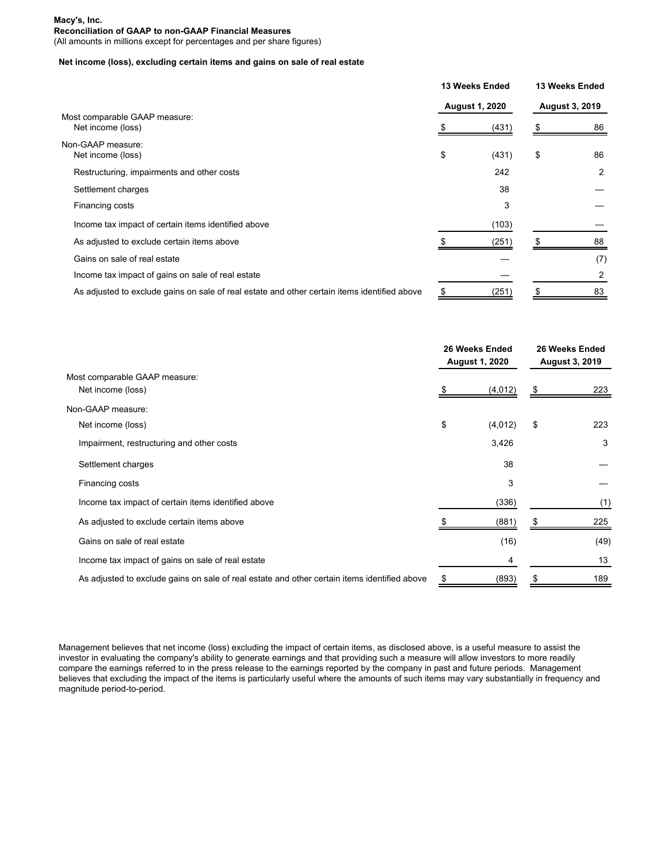# **Macy's, Inc. Reconciliation of GAAP to non-GAAP Financial Measures**

(All amounts in millions except for percentages and per share figures)

# **Net income (loss), excluding certain items and gains on sale of real estate**

|                                                                                              | <b>13 Weeks Ended</b> |                       | 13 Weeks Ended |                       |  |
|----------------------------------------------------------------------------------------------|-----------------------|-----------------------|----------------|-----------------------|--|
|                                                                                              |                       | <b>August 1, 2020</b> |                | <b>August 3, 2019</b> |  |
| Most comparable GAAP measure:<br>Net income (loss)                                           |                       | (431)                 |                | 86                    |  |
| Non-GAAP measure:<br>Net income (loss)                                                       | \$                    | (431)                 | \$             | 86                    |  |
| Restructuring, impairments and other costs                                                   |                       | 242                   |                | $\overline{2}$        |  |
| Settlement charges                                                                           |                       | 38                    |                |                       |  |
| Financing costs                                                                              |                       | 3                     |                |                       |  |
| Income tax impact of certain items identified above                                          |                       | (103)                 |                |                       |  |
| As adjusted to exclude certain items above                                                   |                       | (251)                 |                | 88                    |  |
| Gains on sale of real estate                                                                 |                       |                       |                | (7)                   |  |
| Income tax impact of gains on sale of real estate                                            |                       |                       |                | 2                     |  |
| As adjusted to exclude gains on sale of real estate and other certain items identified above |                       | (251)                 |                | 83                    |  |

|                                                                                              |    | 26 Weeks Ended<br><b>August 1, 2020</b> |    | 26 Weeks Ended<br><b>August 3, 2019</b> |  |
|----------------------------------------------------------------------------------------------|----|-----------------------------------------|----|-----------------------------------------|--|
| Most comparable GAAP measure:                                                                |    |                                         |    |                                         |  |
| Net income (loss)                                                                            |    | (4,012)                                 | P  | 223                                     |  |
| Non-GAAP measure:                                                                            |    |                                         |    |                                         |  |
| Net income (loss)                                                                            | \$ | (4,012)                                 | \$ | 223                                     |  |
| Impairment, restructuring and other costs                                                    |    | 3,426                                   |    | 3                                       |  |
| Settlement charges                                                                           |    | 38                                      |    |                                         |  |
| Financing costs                                                                              |    | 3                                       |    |                                         |  |
| Income tax impact of certain items identified above                                          |    | (336)                                   |    | (1)                                     |  |
| As adjusted to exclude certain items above                                                   |    | (881)                                   |    | 225                                     |  |
| Gains on sale of real estate                                                                 |    | (16)                                    |    | (49)                                    |  |
| Income tax impact of gains on sale of real estate                                            |    | 4                                       |    | 13                                      |  |
| As adjusted to exclude gains on sale of real estate and other certain items identified above |    | (893)                                   |    | 189                                     |  |

Management believes that net income (loss) excluding the impact of certain items, as disclosed above, is a useful measure to assist the investor in evaluating the company's ability to generate earnings and that providing such a measure will allow investors to more readily compare the earnings referred to in the press release to the earnings reported by the company in past and future periods. Management believes that excluding the impact of the items is particularly useful where the amounts of such items may vary substantially in frequency and magnitude period-to-period.